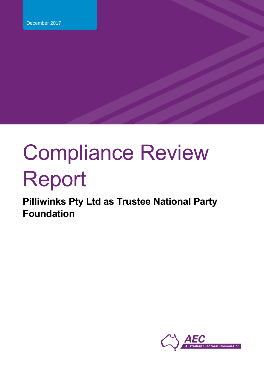# Compliance Review Report

**Pilliwinks Pty Ltd as Trustee National Party Foundation**

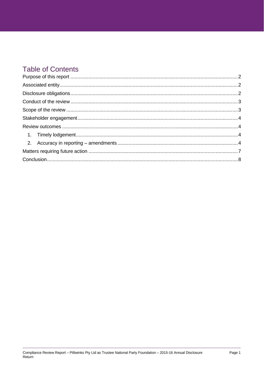## **Table of Contents**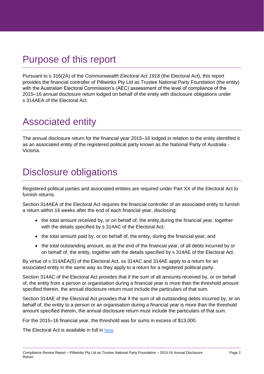# <span id="page-2-0"></span>Purpose of this report

Pursuant to s 316(2A) of the *Commonwealth Electoral Act 1918* (the Electoral Act), this report provides the financial controller of Pilliwinks Pty Ltd as Trustee National Party Foundation (the entity) with the Australian Electoral Commission's (AEC) assessment of the level of compliance of the 2015–16 annual disclosure return lodged on behalf of the entity with disclosure obligations under s 314AEA of the Electoral Act.

# <span id="page-2-1"></span>Associated entity

The annual disclosure return for the financial year 2015–16 lodged in relation to the entity identified it as an associated entity of the registered political party known as the National Party of Australia - Victoria.

# <span id="page-2-2"></span>Disclosure obligations

Registered political parties and associated entities are required under Part XX of the Electoral Act to furnish returns.

Section 314AEA of the Electoral Act requires the financial controller of an associated entity to furnish a return within 16 weeks after the end of each financial year, disclosing:

- the total amount received by, or on behalf of, the entity, during the financial year, together with the details specified by s 314AC of the Electoral Act:
- the total amount paid by, or on behalf of, the entity, during the financial year; and
- the total outstanding amount, as at the end of the financial year, of all debts incurred by or on behalf of, the entity, together with the details specified by s 314AE of the Electoral Act.

By virtue of s 314AEA(5) of the Electoral Act, ss 314AC and 314AE apply to a return for an associated entity in the same way as they apply to a return for a registered political party.

Section 314AC of the Electoral Act provides that if the sum of all amounts received by, or on behalf of, the entity from a person or organisation during a financial year is more than the threshold amount specified therein, the annual disclosure return must include the particulars of that sum.

Section 314AE of the Electoral Act provides that if the sum of all outstanding debts incurred by, or on behalf of, the entity to a person or an organisation during a financial year is more than the threshold amount specified therein, the annual disclosure return must include the [particulars](http://www.austlii.edu.au/au/legis/cth/consol_act/cea1918233/s4.html#part) of that sum.

For the 2015–16 financial year, the threshold was for sums in excess of \$13,000.

The Electoral Act is available in full in [here.](https://www.legislation.gov.au/Details/C2016C01022)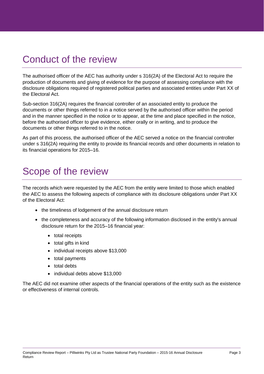# <span id="page-3-0"></span>Conduct of the review

The authorised officer of the AEC has authority under s 316(2A) of the Electoral Act to require the production of documents and giving of evidence for the purpose of assessing compliance with the disclosure obligations required of registered political parties and associated entities under Part XX of the Electoral Act.

Sub-section 316(2A) requires the financial controller of an associated entity to produce the documents or other things referred to in a notice served by the authorised officer within the period and in the manner specified in the notice or to appear, at the time and place specified in the notice, before the authorised officer to give evidence, either orally or in writing, and to produce the documents or other things referred to in the notice.

As part of this process, the authorised officer of the AEC served a notice on the financial controller under s 316(2A) requiring the entity to provide its financial records and other documents in relation to its financial operations for 2015–16.

# <span id="page-3-1"></span>Scope of the review

The records which were requested by the AEC from the entity were limited to those which enabled the AEC to assess the following aspects of compliance with its disclosure obligations under Part XX of the Electoral Act:

- the timeliness of lodgement of the annual disclosure return
- the completeness and accuracy of the following information disclosed in the entity's annual disclosure return for the 2015–16 financial year:
	- total receipts
	- total gifts in kind
	- individual receipts above \$13,000
	- total payments
	- total debts
	- individual debts above \$13,000

The AEC did not examine other aspects of the financial operations of the entity such as the existence or effectiveness of internal controls.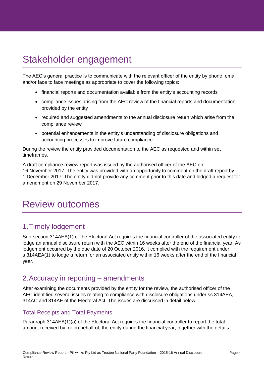# <span id="page-4-0"></span>Stakeholder engagement

The AEC's general practice is to communicate with the relevant officer of the entity by phone, email and/or face to face meetings as appropriate to cover the following topics:

- financial reports and documentation available from the entity's accounting records
- compliance issues arising from the AEC review of the financial reports and documentation provided by the entity
- required and suggested amendments to the annual disclosure return which arise from the compliance review
- potential enhancements in the entity's understanding of disclosure obligations and accounting processes to improve future compliance.

During the review the entity provided documentation to the AEC as requested and within set timeframes.

A draft compliance review report was issued by the authorised officer of the AEC on 16 November 2017. The entity was provided with an opportunity to comment on the draft report by 1 December 2017. The entity did not provide any comment prior to this date and lodged a request for amendment on 29 November 2017.

## <span id="page-4-1"></span>Review outcomes

## <span id="page-4-2"></span>1.Timely lodgement

Sub-section 314AEA(1) of the Electoral Act requires the financial controller of the associated entity to lodge an annual disclosure return with the AEC within 16 weeks after the end of the financial year. As lodgement occurred by the due date of 20 October 2016, it complied with the requirement under s 314AEA(1) to lodge a return for an associated entity within 16 weeks after the end of the financial year.

## <span id="page-4-3"></span>2.Accuracy in reporting – amendments

After examining the documents provided by the entity for the review, the authorised officer of the AEC identified several issues relating to compliance with disclosure obligations under ss 314AEA, 314AC and 314AE of the Electoral Act. The issues are discussed in detail below.

#### Total Receipts and Total Payments

Paragraph 314AEA(1)(a) of the Electoral Act requires the financial controller to report the total amount received by, or on behalf of, the entity during the financial year, together with the details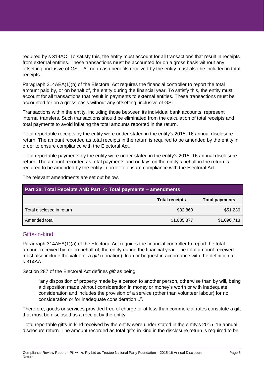required by s 314AC. To satisfy this, the entity must account for all transactions that result in receipts from external entities. These transactions must be accounted for on a gross basis without any offsetting, inclusive of GST. All non-cash benefits received by the entity must also be included in total receipts.

Paragraph 314AEA(1)(b) of the Electoral Act requires the financial controller to report the total amount paid by, or on behalf of, the entity during the financial year. To satisfy this, the entity must account for all transactions that result in payments to external entities. These transactions must be accounted for on a gross basis without any offsetting, inclusive of GST.

Transactions within the entity, including those between its individual bank accounts, represent internal transfers. Such transactions should be eliminated from the calculation of total receipts and total payments to avoid inflating the total amounts reported in the return.

Total reportable receipts by the entity were under-stated in the entity's 2015–16 annual disclosure return. The amount recorded as total receipts in the return is required to be amended by the entity in order to ensure compliance with the Electoral Act.

Total reportable payments by the entity were under-stated in the entity's 2015–16 annual disclosure return. The amount recorded as total payments and outlays on the entity's behalf in the return is required to be amended by the entity in order to ensure compliance with the Electoral Act.

The relevant amendments are set out below.

| Part 2a: Total Receipts AND Part 4: Total payments - amendments |                       |                       |  |  |
|-----------------------------------------------------------------|-----------------------|-----------------------|--|--|
|                                                                 | <b>Total receipts</b> | <b>Total payments</b> |  |  |
| Total disclosed in return                                       | \$32,860              | \$51,236              |  |  |
| Amended total                                                   | \$1,035,877           | \$1,090,713           |  |  |

## Gifts-in-kind

Paragraph 314AEA(1)(a) of the Electoral Act requires the financial controller to report the total amount received by, or on behalf of, the entity during the financial year. The total amount received must also include the value of a *gift* (donation), loan or bequest in accordance with the definition at s 314AA.

Section 287 of the Electoral Act defines *gift* as being:

"any disposition of property made by a person to another person, otherwise than by will, being a disposition made without consideration in money or money's worth or with inadequate consideration and includes the provision of a service (other than volunteer labour) for no consideration or for inadequate consideration...".

Therefore, goods or services provided free of charge or at less than commercial rates constitute a gift that must be disclosed as a receipt by the entity.

Total reportable gifts-in-kind received by the entity were under-stated in the entity's 2015–16 annual disclosure return. The amount recorded as total gifts-in-kind in the disclosure return is required to be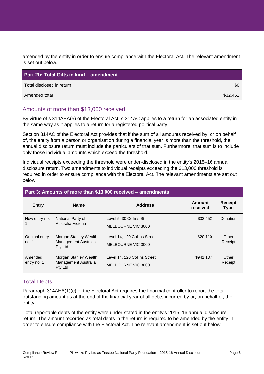amended by the entity in order to ensure compliance with the Electoral Act. The relevant amendment is set out below.

| <b>Part 2b: Total Gifts in kind – amendment</b> |          |
|-------------------------------------------------|----------|
| Total disclosed in return                       | \$0      |
| Amended total                                   | \$32,452 |

### Amounts of more than \$13,000 received

By virtue of s 314AEA(5) of the Electoral Act, s 314AC applies to a return for an associated entity in the same way as it applies to a return for a registered political party.

Section 314AC of the Electoral Act provides that if the sum of all amounts received by, or on behalf of, the entity from a person or organisation during a financial year is more than the threshold, the annual disclosure return must include the particulars of that sum. Furthermore, that sum is to include only those individual amounts which exceed the threshold.

Individual receipts exceeding the threshold were under-disclosed in the entity's 2015–16 annual disclosure return. Two amendments to individual receipts exceeding the \$13,000 threshold is required in order to ensure compliance with the Electoral Act. The relevant amendments are set out below.

| Part 3: Amounts of more than \$13,000 received – amendments |                                                          |                                                    |                    |                               |
|-------------------------------------------------------------|----------------------------------------------------------|----------------------------------------------------|--------------------|-------------------------------|
| <b>Entry</b>                                                | <b>Name</b>                                              | <b>Address</b>                                     | Amount<br>received | <b>Receipt</b><br><b>Type</b> |
| New entry no.                                               | National Party of<br>Australia-Victoria                  | Level 5, 30 Collins St<br>MELBOURNE VIC 3000       | \$32,452           | Donation                      |
| Original entry<br>no. 1                                     | Morgan Stanley Wealth<br>Management Australia<br>Pty Ltd | Level 14, 120 Collins Street<br>MELBOURNE VIC 3000 | \$20,110           | Other<br>Receipt              |
| Amended<br>entry no. 1                                      | Morgan Stanley Wealth<br>Management Australia<br>Pty Ltd | Level 14, 120 Collins Street<br>MELBOURNE VIC 3000 | \$941,137          | Other<br>Receipt              |

## Total Debts

Paragraph 314AEA(1)(c) of the Electoral Act requires the financial controller to report the total outstanding amount as at the end of the financial year of all debts incurred by or, on behalf of, the entity.

Total reportable debts of the entity were under-stated in the entity's 2015–16 annual disclosure return. The amount recorded as total debts in the return is required to be amended by the entity in order to ensure compliance with the Electoral Act. The relevant amendment is set out below.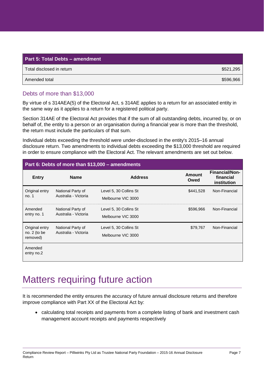| Part 5: Total Debts - amendment |           |  |  |
|---------------------------------|-----------|--|--|
| Total disclosed in return       | \$521,295 |  |  |
| Amended total                   | \$596,966 |  |  |

### Debts of more than \$13,000

By virtue of s 314AEA(5) of the Electoral Act, s 314AE applies to a return for an associated entity in the same way as it applies to a return for a registered political party.

Section 314AE of the Electoral Act provides that if the sum of all outstanding debts, incurred by, or on behalf of, the entity to a person or an organisation during a financial year is more than the threshold, the return must include the particulars of that sum.

Individual debts exceeding the threshold were under-disclosed in the entity's 2015–16 annual disclosure return. Two amendments to individual debts exceeding the \$13,000 threshold are required in order to ensure compliance with the Electoral Act. The relevant amendments are set out below.

| Part 6: Debts of more than \$13,000 - amendments |                                           |                                              |                       |                                                   |  |
|--------------------------------------------------|-------------------------------------------|----------------------------------------------|-----------------------|---------------------------------------------------|--|
| <b>Entry</b>                                     | <b>Name</b>                               | <b>Address</b>                               | <b>Amount</b><br>Owed | <b>Financial/Non-</b><br>financial<br>institution |  |
| Original entry<br>no.1                           | National Party of<br>Australia - Victoria | Level 5, 30 Collins St<br>Melbourne VIC 3000 | \$441,528             | Non-Financial                                     |  |
| Amended<br>entry no. 1                           | National Party of<br>Australia - Victoria | Level 5, 30 Collins St<br>Melbourne VIC 3000 | \$596,966             | Non-Financial                                     |  |
| Original entry<br>no. $2$ (to be<br>removed)     | National Party of<br>Australia - Victoria | Level 5, 30 Collins St<br>Melbourne VIC 3000 | \$79,767              | Non-Financial                                     |  |
| Amended<br>entry no.2                            |                                           |                                              |                       |                                                   |  |

## <span id="page-7-0"></span>Matters requiring future action

It is recommended the entity ensures the accuracy of future annual disclosure returns and therefore improve compliance with Part XX of the Electoral Act by:

 calculating total receipts and payments from a complete listing of bank and investment cash management account receipts and payments respectively